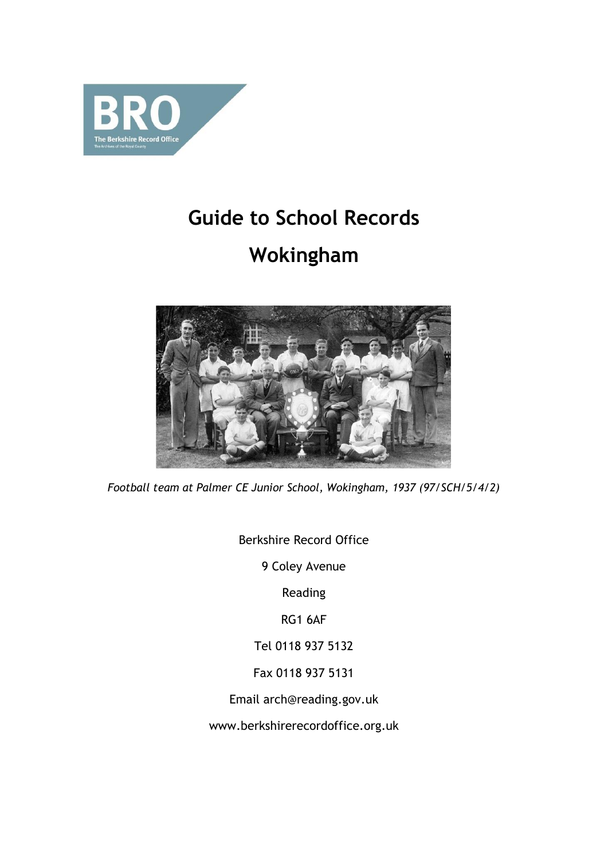

# **Guide to School Records**

# **Wokingham**



*Football team at Palmer CE Junior School, Wokingham, 1937 (97/SCH/5/4/2)*

Berkshire Record Office

9 Coley Avenue

Reading

RG1 6AF

Tel 0118 937 5132

Fax 0118 937 5131

Email arch@reading.gov.uk

www.berkshirerecordoffice.org.uk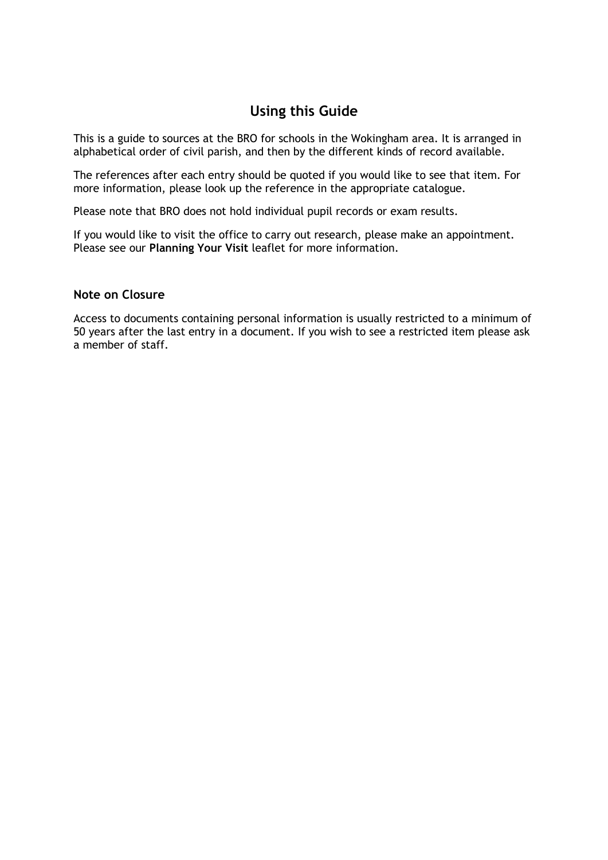## **Using this Guide**

This is a guide to sources at the BRO for schools in the Wokingham area. It is arranged in alphabetical order of civil parish, and then by the different kinds of record available.

The references after each entry should be quoted if you would like to see that item. For more information, please look up the reference in the appropriate catalogue.

Please note that BRO does not hold individual pupil records or exam results.

If you would like to visit the office to carry out research, please make an appointment. Please see our **Planning Your Visit** leaflet for more information.

### **Note on Closure**

Access to documents containing personal information is usually restricted to a minimum of 50 years after the last entry in a document. If you wish to see a restricted item please ask a member of staff.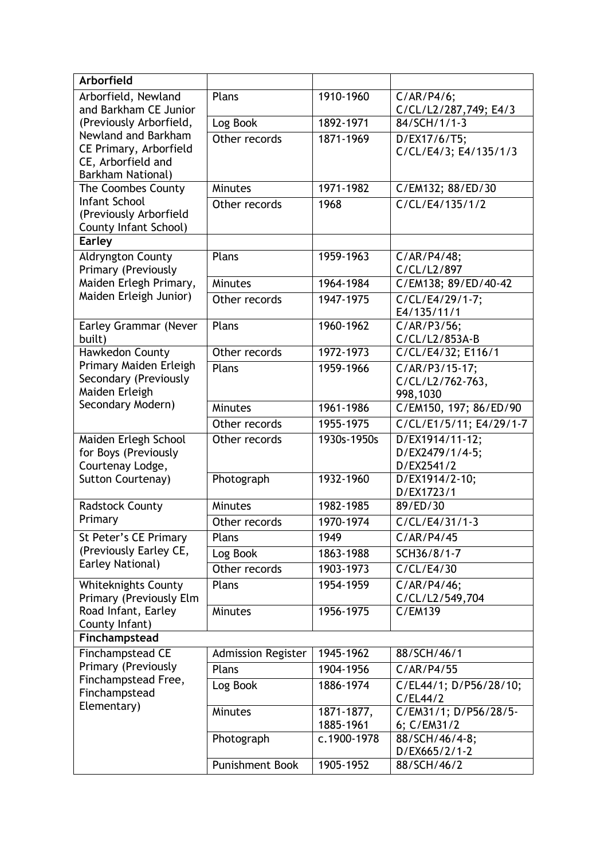| <b>Arborfield</b>                            |                           |             |                                      |
|----------------------------------------------|---------------------------|-------------|--------------------------------------|
| Arborfield, Newland                          | Plans                     | 1910-1960   | C/AR/P4/6;                           |
| and Barkham CE Junior                        |                           |             | C/CL/L2/287,749; E4/3                |
| (Previously Arborfield,                      | Log Book                  | 1892-1971   | 84/SCH/1/1-3                         |
| Newland and Barkham                          | Other records             | 1871-1969   | D/EX17/6/T5;                         |
| CE Primary, Arborfield<br>CE, Arborfield and |                           |             | C/CL/E4/3; E4/135/1/3                |
| <b>Barkham National)</b>                     |                           |             |                                      |
| The Coombes County                           | <b>Minutes</b>            | 1971-1982   | C/EM132; 88/ED/30                    |
| Infant School                                | Other records             | 1968        | C/CL/E4/135/1/2                      |
| (Previously Arborfield                       |                           |             |                                      |
| County Infant School)                        |                           |             |                                      |
| <b>Earley</b>                                |                           |             |                                      |
| Aldryngton County                            | Plans                     | 1959-1963   | C/AR/P4/48;                          |
| Primary (Previously                          |                           |             | C/CL/L2/897                          |
| Maiden Erlegh Primary,                       | <b>Minutes</b>            | 1964-1984   | C/EM138; 89/ED/40-42                 |
| Maiden Erleigh Junior)                       | Other records             | 1947-1975   | $\overline{C/CL/E4/29/1-7};$         |
|                                              |                           |             | E4/135/11/1                          |
| Earley Grammar (Never                        | Plans                     | 1960-1962   | $C/AR/P3/56$ ;                       |
| built)<br>Hawkedon County                    | Other records             | 1972-1973   | C/CL/L2/853A-B<br>C/CL/E4/32; E116/1 |
| Primary Maiden Erleigh                       |                           |             |                                      |
| Secondary (Previously                        | Plans                     | 1959-1966   | C/AR/P3/15-17;<br>C/CL/L2/762-763,   |
| Maiden Erleigh                               |                           |             | 998,1030                             |
| Secondary Modern)                            | <b>Minutes</b>            | 1961-1986   | C/EM150, 197; 86/ED/90               |
|                                              | Other records             | 1955-1975   | C/CL/E1/5/11; E4/29/1-7              |
| Maiden Erlegh School                         | Other records             | 1930s-1950s | D/EX1914/11-12;                      |
| for Boys (Previously                         |                           |             | D/EX2479/1/4-5;                      |
| Courtenay Lodge,                             |                           |             | D/EX2541/2                           |
| Sutton Courtenay)                            | Photograph                | 1932-1960   | D/EX1914/2-10;                       |
|                                              |                           |             | D/EX1723/1                           |
| <b>Radstock County</b>                       | <b>Minutes</b>            | 1982-1985   | 89/ED/30                             |
| Primary                                      | Other records             | 1970-1974   | C/CL/E4/31/1-3                       |
| St Peter's CE Primary                        | Plans                     | 1949        | C/AR/P4/45                           |
| (Previously Earley CE,                       | Log Book                  | 1863-1988   | SCH36/8/1-7                          |
| Earley National)                             | Other records             | 1903-1973   | C/CL/E4/30                           |
| <b>Whiteknights County</b>                   | Plans                     | 1954-1959   | C/AR/P4/46;                          |
| Primary (Previously Elm                      |                           |             | C/CL/L2/549,704                      |
| Road Infant, Earley                          | Minutes                   | 1956-1975   | C/EM139                              |
| County Infant)                               |                           |             |                                      |
| Finchampstead                                |                           |             |                                      |
| Finchampstead CE<br>Primary (Previously      | <b>Admission Register</b> | 1945-1962   | 88/SCH/46/1                          |
|                                              | Plans                     | 1904-1956   | C/AR/P4/55                           |
| Finchampstead Free,<br>Finchampstead         | Log Book                  | 1886-1974   | C/EL44/1; D/P56/28/10;               |
| Elementary)                                  |                           |             | C/EL44/2                             |
|                                              | <b>Minutes</b>            | 1871-1877,  | C/EM31/1; D/P56/28/5-                |
|                                              |                           | 1885-1961   | 6; C/EM31/2                          |
|                                              | Photograph                | c.1900-1978 | 88/SCH/46/4-8;<br>D/EX665/2/1-2      |
|                                              | <b>Punishment Book</b>    | 1905-1952   | 88/SCH/46/2                          |
|                                              |                           |             |                                      |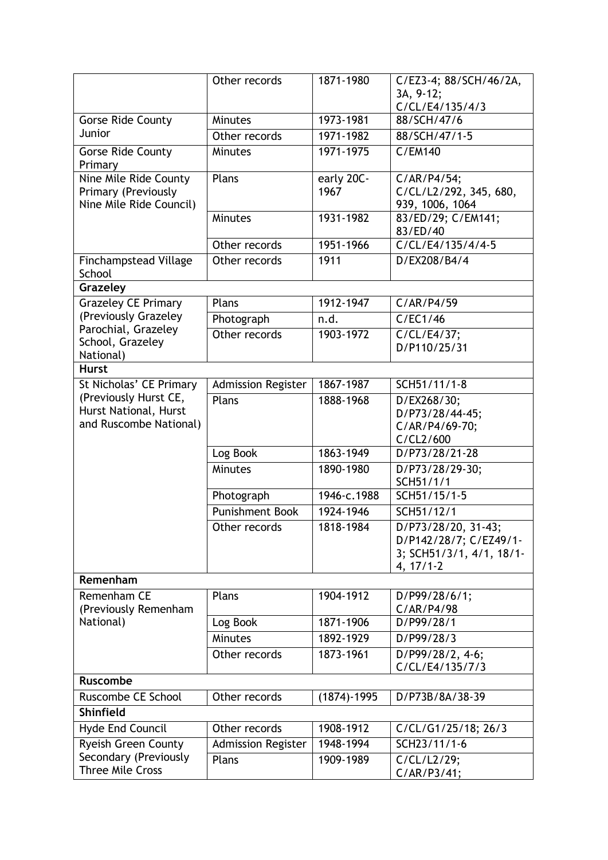|                                                                          | Other records             | 1871-1980          | C/EZ3-4; 88/SCH/46/2A,<br>3A, 9-12;<br>C/CL/E4/135/4/3                                   |
|--------------------------------------------------------------------------|---------------------------|--------------------|------------------------------------------------------------------------------------------|
| <b>Gorse Ride County</b>                                                 | <b>Minutes</b>            | 1973-1981          | 88/SCH/47/6                                                                              |
| Junior                                                                   | Other records             | 1971-1982          | 88/SCH/47/1-5                                                                            |
| Gorse Ride County<br>Primary                                             | <b>Minutes</b>            | 1971-1975          | C/EM140                                                                                  |
| Nine Mile Ride County<br>Primary (Previously<br>Nine Mile Ride Council)  | Plans                     | early 20C-<br>1967 | C/AR/P4/54;<br>C/CL/L2/292, 345, 680,<br>939, 1006, 1064                                 |
|                                                                          | <b>Minutes</b>            | 1931-1982          | 83/ED/29; C/EM141;<br>83/ED/40                                                           |
|                                                                          | Other records             | 1951-1966          | C/CL/E4/135/4/4-5                                                                        |
| <b>Finchampstead Village</b><br>School                                   | Other records             | 1911               | D/EX208/B4/4                                                                             |
| Grazeley                                                                 |                           |                    |                                                                                          |
| <b>Grazeley CE Primary</b>                                               | Plans                     | 1912-1947          | C/AR/P4/59                                                                               |
| (Previously Grazeley                                                     | Photograph                | n.d.               | C/EC1/46                                                                                 |
| Parochial, Grazeley<br>School, Grazeley<br>National)                     | Other records             | 1903-1972          | C/CL/E4/37;<br>D/P110/25/31                                                              |
| <b>Hurst</b>                                                             |                           |                    |                                                                                          |
| St Nicholas' CE Primary                                                  | <b>Admission Register</b> | 1867-1987          | SCH51/11/1-8                                                                             |
| (Previously Hurst CE,<br>Hurst National, Hurst<br>and Ruscombe National) | Plans                     | 1888-1968          | D/EX268/30;<br>D/P73/28/44-45;<br>C/AR/P4/69-70;<br>C/CL2/600                            |
|                                                                          | Log Book                  | 1863-1949          | D/P73/28/21-28                                                                           |
|                                                                          | Minutes                   | 1890-1980          | D/P73/28/29-30;<br>SCH51/1/1                                                             |
|                                                                          | Photograph                | 1946-c.1988        | SCH51/15/1-5                                                                             |
|                                                                          | Punishment Book           | 1924-1946          | SCH51/12/1                                                                               |
|                                                                          | Other records             | 1818-1984          | D/P73/28/20, 31-43;<br>D/P142/28/7; C/EZ49/1-<br>3; SCH51/3/1, 4/1, 18/1-<br>$4, 17/1-2$ |
| Remenham                                                                 |                           |                    |                                                                                          |
| Remenham CE<br>(Previously Remenham                                      | Plans                     | 1904-1912          | D/P99/28/6/1;<br>C/AR/P4/98                                                              |
| National)                                                                | Log Book                  | 1871-1906          | D/P99/28/1                                                                               |
|                                                                          | <b>Minutes</b>            | 1892-1929          | D/P99/28/3                                                                               |
|                                                                          | Other records             | 1873-1961          | D/P99/28/2, 4-6;<br>C/CL/E4/135/7/3                                                      |
| <b>Ruscombe</b>                                                          |                           |                    |                                                                                          |
| Ruscombe CE School                                                       | Other records             | $(1874) - 1995$    | D/P73B/8A/38-39                                                                          |
| <b>Shinfield</b>                                                         |                           |                    |                                                                                          |
| Hyde End Council                                                         | Other records             | 1908-1912          | C/CL/G1/25/18; 26/3                                                                      |
| <b>Ryeish Green County</b>                                               | <b>Admission Register</b> | 1948-1994          | SCH23/11/1-6                                                                             |
| Secondary (Previously<br><b>Three Mile Cross</b>                         | Plans                     | 1909-1989          | C/CL/L2/29;<br>C/AR/P3/41;                                                               |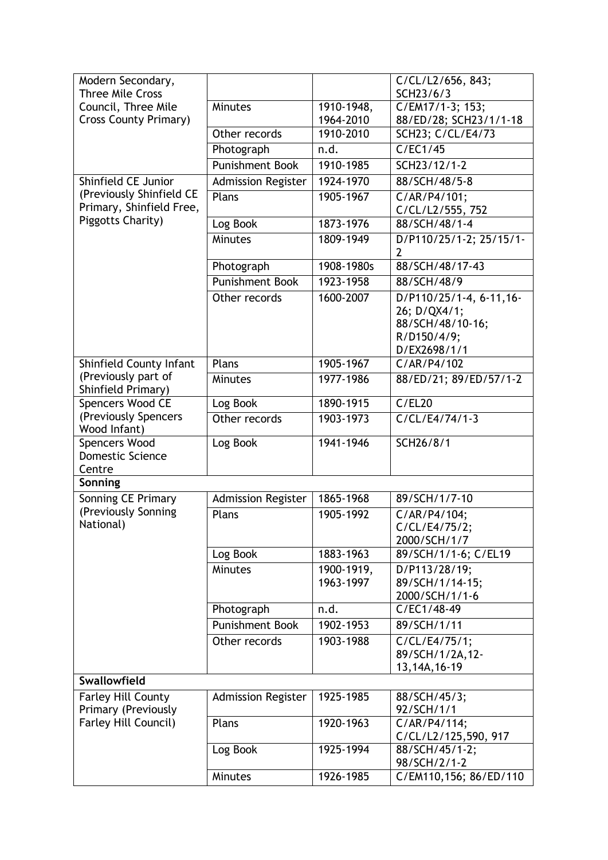| Modern Secondary,<br><b>Three Mile Cross</b>         |                           |            | C/CL/L2/656, 843;<br>SCH23/6/3                |
|------------------------------------------------------|---------------------------|------------|-----------------------------------------------|
| Council, Three Mile                                  | Minutes                   | 1910-1948, | C/EM17/1-3; 153;                              |
| <b>Cross County Primary)</b>                         |                           | 1964-2010  | 88/ED/28; SCH23/1/1-18                        |
|                                                      | Other records             | 1910-2010  | SCH23; C/CL/E4/73                             |
|                                                      | Photograph                | n.d.       | C/EC1/45                                      |
|                                                      | <b>Punishment Book</b>    | 1910-1985  | SCH23/12/1-2                                  |
| Shinfield CE Junior                                  | <b>Admission Register</b> | 1924-1970  | 88/SCH/48/5-8                                 |
| (Previously Shinfield CE<br>Primary, Shinfield Free, | Plans                     | 1905-1967  | C/AR/P4/101;<br>C/CL/L2/555, 752              |
| Piggotts Charity)                                    | Log Book                  | 1873-1976  | 88/SCH/48/1-4                                 |
|                                                      | Minutes                   | 1809-1949  | D/P110/25/1-2; 25/15/1-<br>2                  |
|                                                      | Photograph                | 1908-1980s | 88/SCH/48/17-43                               |
|                                                      | <b>Punishment Book</b>    | 1923-1958  | 88/SCH/48/9                                   |
|                                                      | Other records             | 1600-2007  | D/P110/25/1-4, 6-11, 16-<br>26; D/QX4/1;      |
|                                                      |                           |            | 88/SCH/48/10-16;                              |
|                                                      |                           |            | R/D150/4/9;                                   |
|                                                      |                           |            | D/EX2698/1/1                                  |
| Shinfield County Infant<br>(Previously part of       | Plans                     | 1905-1967  | C/AR/P4/102                                   |
| Shinfield Primary)                                   | <b>Minutes</b>            | 1977-1986  | 88/ED/21; 89/ED/57/1-2                        |
| Spencers Wood CE                                     | Log Book                  | 1890-1915  | C/EL20                                        |
| (Previously Spencers<br>Wood Infant)                 | Other records             | 1903-1973  | C/CL/E4/74/1-3                                |
| Spencers Wood<br><b>Domestic Science</b><br>Centre   | Log Book                  | 1941-1946  | SCH26/8/1                                     |
| Sonning                                              |                           |            |                                               |
| Sonning CE Primary                                   | <b>Admission Register</b> | 1865-1968  | 89/SCH/1/7-10                                 |
| (Previously Sonning<br>National)                     | Plans                     | 1905-1992  | C/AR/P4/104;<br>C/CL/E4/75/2;<br>2000/SCH/1/7 |
|                                                      | Log Book                  | 1883-1963  | 89/SCH/1/1-6; C/EL19                          |
|                                                      | <b>Minutes</b>            | 1900-1919, | D/P113/28/19;                                 |
|                                                      |                           | 1963-1997  | 89/SCH/1/14-15;                               |
|                                                      |                           |            | 2000/SCH/1/1-6                                |
|                                                      | Photograph                | n.d.       | C/EC1/48-49                                   |
|                                                      | <b>Punishment Book</b>    | 1902-1953  | 89/SCH/1/11                                   |
|                                                      | Other records             | 1903-1988  | C/CL/E4/75/1;<br>89/SCH/1/2A,12-              |
|                                                      |                           |            | 13,14A,16-19                                  |
| <b>Swallowfield</b>                                  |                           |            |                                               |
| <b>Farley Hill County</b>                            | <b>Admission Register</b> | 1925-1985  | 88/SCH/45/3;                                  |
| Primary (Previously                                  |                           |            | 92/SCH/1/1                                    |
| Farley Hill Council)                                 | Plans                     | 1920-1963  | C/AR/P4/114;                                  |
|                                                      |                           |            | C/CL/L2/125,590, 917                          |
|                                                      | Log Book                  | 1925-1994  | 88/SCH/45/1-2;<br>98/SCH/2/1-2                |
|                                                      | Minutes                   | 1926-1985  | C/EM110,156; 86/ED/110                        |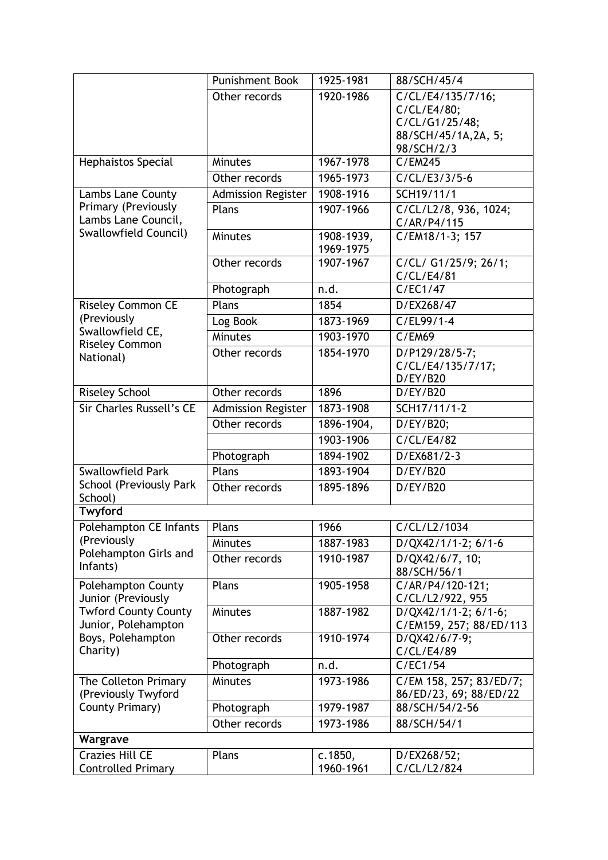|                                                                                     | <b>Punishment Book</b>    | 1925-1981               | 88/SCH/45/4                                                                             |
|-------------------------------------------------------------------------------------|---------------------------|-------------------------|-----------------------------------------------------------------------------------------|
|                                                                                     | Other records             | 1920-1986               | C/CL/E4/135/7/16;<br>C/CL/E4/80;<br>C/CL/G1/25/48;<br>88/SCH/45/1A,2A, 5;<br>98/SCH/2/3 |
| Hephaistos Special                                                                  | <b>Minutes</b>            | 1967-1978               | C/EM245                                                                                 |
|                                                                                     | Other records             | 1965-1973               | $C/CL/E3/3/5-6$                                                                         |
| Lambs Lane County                                                                   | <b>Admission Register</b> | 1908-1916               | SCH19/11/1                                                                              |
| Primary (Previously<br>Lambs Lane Council,                                          | Plans                     | 1907-1966               | C/CL/L2/8, 936, 1024;<br>C/AR/P4/115                                                    |
| Swallowfield Council)                                                               | Minutes                   | 1908-1939,<br>1969-1975 | C/EM18/1-3; 157                                                                         |
|                                                                                     | Other records             | 1907-1967               | C/CL/ G1/25/9; 26/1;<br>C/CL/E4/81                                                      |
|                                                                                     | Photograph                | n.d.                    | C/EC1/47                                                                                |
| <b>Riseley Common CE</b>                                                            | Plans                     | 1854                    | D/EX268/47                                                                              |
| (Previously<br>Swallowfield CE,                                                     | Log Book                  | 1873-1969               | $C/EL99/1-4$                                                                            |
| <b>Riseley Common</b>                                                               | Minutes                   | 1903-1970               | <b>C/EM69</b>                                                                           |
| National)                                                                           | Other records             | 1854-1970               | D/P129/28/5-7;<br>C/CL/E4/135/7/17;<br>D/EY/B20                                         |
| <b>Riseley School</b>                                                               | Other records             | 1896                    | D/ EY/B20                                                                               |
| <b>Sir Charles Russell's CE</b>                                                     | <b>Admission Register</b> | 1873-1908               | SCH17/11/1-2                                                                            |
|                                                                                     | Other records             | 1896-1904,              | D/EY/B20;                                                                               |
|                                                                                     |                           | 1903-1906               | C/CL/E4/82                                                                              |
|                                                                                     | Photograph                | 1894-1902               | D/EX681/2-3                                                                             |
| Swallowfield Park                                                                   | Plans                     | 1893-1904               | D/ EY/B20                                                                               |
| School (Previously Park<br>School)                                                  | Other records             | 1895-1896               | D/ EY/B20                                                                               |
| Twyford                                                                             |                           |                         |                                                                                         |
| Polehampton CE Infants                                                              | Plans                     | 1966                    | C/CL/L2/1034                                                                            |
| (Previously<br>Polehampton Girls and                                                | Minutes                   | 1887-1983               | D/QX42/1/1-2; 6/1-6                                                                     |
| Infants)                                                                            | Other records             | 1910-1987               | D/QX42/6/7, 10;<br>88/SCH/56/1                                                          |
| Polehampton County<br>Junior (Previously                                            | Plans                     | 1905-1958               | C/AR/P4/120-121;<br>C/CL/L2/922, 955                                                    |
| <b>Twford County County</b><br>Junior, Polehampton<br>Boys, Polehampton<br>Charity) | Minutes                   | 1887-1982               | $D/QX42/1/1-2$ ; 6/1-6;<br>C/EM159, 257; 88/ED/113                                      |
|                                                                                     | Other records             | 1910-1974               | D/QX42/6/7-9;<br>C/CL/E4/89                                                             |
|                                                                                     | Photograph                | n.d.                    | C/EC1/54                                                                                |
| The Colleton Primary<br>(Previously Twyford                                         | <b>Minutes</b>            | 1973-1986               | C/EM 158, 257; 83/ED/7;<br>86/ED/23, 69; 88/ED/22                                       |
| County Primary)                                                                     | Photograph                | 1979-1987               | 88/SCH/54/2-56                                                                          |
|                                                                                     | Other records             | 1973-1986               | 88/SCH/54/1                                                                             |
| Wargrave                                                                            |                           |                         |                                                                                         |
| <b>Crazies Hill CE</b><br><b>Controlled Primary</b>                                 | Plans                     | c.1850,<br>1960-1961    | D/EX268/52;<br>C/CL/L2/824                                                              |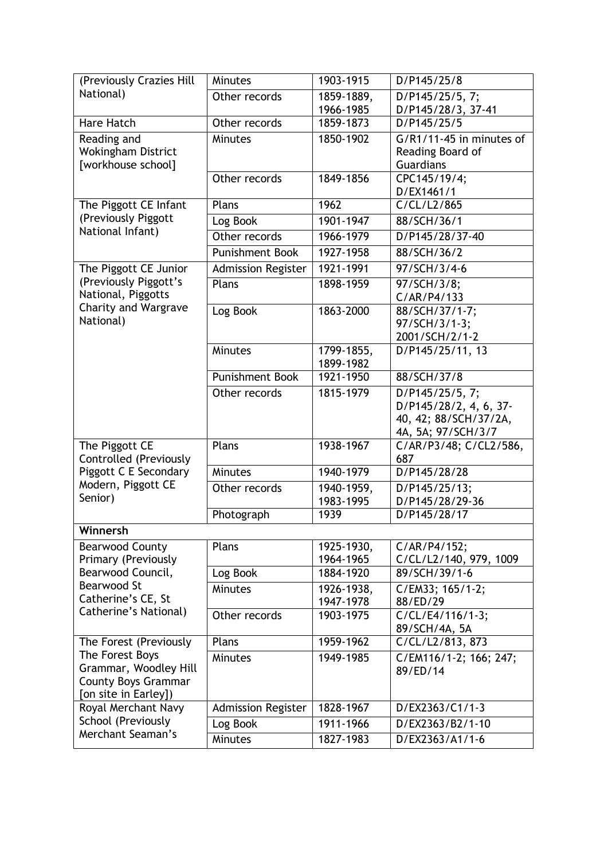| (Previously Crazies Hill                    | <b>Minutes</b>            | 1903-1915  | D/P145/25/8                       |
|---------------------------------------------|---------------------------|------------|-----------------------------------|
| National)                                   | Other records             | 1859-1889, | D/P145/25/5, 7;                   |
|                                             |                           | 1966-1985  | D/P145/28/3, 37-41                |
| Hare Hatch                                  | Other records             | 1859-1873  | D/P145/25/5                       |
| Reading and                                 | Minutes                   | 1850-1902  | G/R1/11-45 in minutes of          |
| Wokingham District                          |                           |            | Reading Board of                  |
| [workhouse school]                          |                           |            | Guardians                         |
|                                             | Other records             | 1849-1856  | CPC145/19/4;                      |
| The Piggott CE Infant                       | Plans                     | 1962       | D/EX1461/1<br>C/CL/L2/865         |
| (Previously Piggott                         |                           | 1901-1947  | 88/SCH/36/1                       |
| National Infant)                            | Log Book                  |            |                                   |
|                                             | Other records             | 1966-1979  | D/P145/28/37-40                   |
|                                             | <b>Punishment Book</b>    | 1927-1958  | 88/SCH/36/2                       |
| The Piggott CE Junior                       | <b>Admission Register</b> | 1921-1991  | 97/SCH/3/4-6                      |
| (Previously Piggott's<br>National, Piggotts | Plans                     | 1898-1959  | 97/SCH/3/8;                       |
| <b>Charity and Wargrave</b>                 |                           |            | C/AR/P4/133                       |
| National)                                   | Log Book                  | 1863-2000  | 88/SCH/37/1-7;<br>97/SCH/3/1-3;   |
|                                             |                           |            | 2001/SCH/2/1-2                    |
|                                             | <b>Minutes</b>            | 1799-1855, | D/P145/25/11, 13                  |
|                                             |                           | 1899-1982  |                                   |
|                                             | <b>Punishment Book</b>    | 1921-1950  | 88/SCH/37/8                       |
|                                             | Other records             | 1815-1979  | D/P145/25/5, 7;                   |
|                                             |                           |            | D/P145/28/2, 4, 6, 37-            |
|                                             |                           |            | 40, 42; 88/SCH/37/2A,             |
|                                             |                           |            | 4A, 5A; 97/SCH/3/7                |
| The Piggott CE<br>Controlled (Previously    | Plans                     | 1938-1967  | C/AR/P3/48; C/CL2/586,<br>687     |
| Piggott C E Secondary                       | Minutes                   | 1940-1979  | D/P145/28/28                      |
| Modern, Piggott CE                          | Other records             | 1940-1959, | D/P145/25/13;                     |
| Senior)                                     |                           | 1983-1995  | D/P145/28/29-36                   |
|                                             | Photograph                | 1939       | D/P145/28/17                      |
| Winnersh                                    |                           |            |                                   |
| <b>Bearwood County</b>                      | Plans                     | 1925-1930, | C/AR/P4/152;                      |
| Primary (Previously                         |                           | 1964-1965  | C/CL/L2/140, 979, 1009            |
| Bearwood Council,                           | Log Book                  | 1884-1920  | 89/SCH/39/1-6                     |
| Bearwood St                                 | <b>Minutes</b>            | 1926-1938, | C/EM33; 165/1-2;                  |
| Catherine's CE, St<br>Catherine's National) |                           | 1947-1978  | 88/ED/29                          |
|                                             | Other records             | 1903-1975  | C/CL/E4/116/1-3;<br>89/SCH/4A, 5A |
| The Forest (Previously                      | Plans                     | 1959-1962  | C/CL/L2/813, 873                  |
| The Forest Boys                             | <b>Minutes</b>            | 1949-1985  | C/EM116/1-2; 166; 247;            |
| Grammar, Woodley Hill                       |                           |            | 89/ED/14                          |
| <b>County Boys Grammar</b>                  |                           |            |                                   |
| [on site in Earley])                        |                           |            |                                   |
| Royal Merchant Navy                         | Admission Register        | 1828-1967  | D/EX2363/C1/1-3                   |
| School (Previously<br>Merchant Seaman's     | Log Book                  | 1911-1966  | D/EX2363/B2/1-10                  |
|                                             | Minutes                   | 1827-1983  | D/EX2363/A1/1-6                   |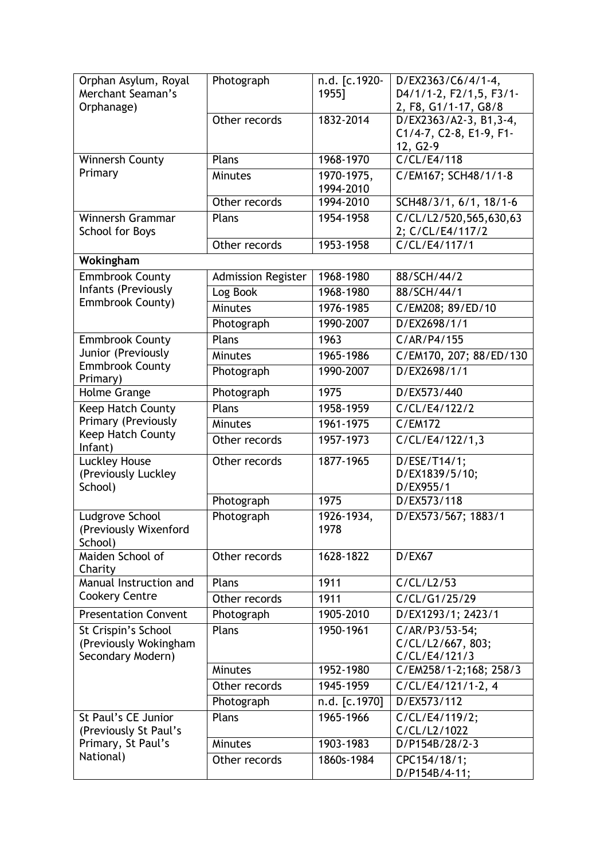| Orphan Asylum, Royal<br>Merchant Seaman's<br>Orphanage) | Photograph                | n.d. [c.1920-<br>1955]  | D/EX2363/C6/4/1-4,<br>D4/1/1-2, F2/1,5, F3/1-<br>2, F8, G1/1-17, G8/8 |
|---------------------------------------------------------|---------------------------|-------------------------|-----------------------------------------------------------------------|
|                                                         | Other records             | 1832-2014               | D/EX2363/A2-3, B1,3-4,<br>C1/4-7, C2-8, E1-9, F1-<br>12, G2-9         |
| Winnersh County                                         | Plans                     | 1968-1970               | C/CL/E4/118                                                           |
| Primary                                                 | <b>Minutes</b>            | 1970-1975,<br>1994-2010 | C/EM167; SCH48/1/1-8                                                  |
|                                                         | Other records             | 1994-2010               | SCH48/3/1, 6/1, 18/1-6                                                |
| Winnersh Grammar<br><b>School for Boys</b>              | Plans                     | 1954-1958               | C/CL/L2/520, 565, 630, 63<br>2; C/CL/E4/117/2                         |
|                                                         | Other records             | 1953-1958               | $\overline{C/CL/E4/117/1}$                                            |
| Wokingham                                               |                           |                         |                                                                       |
| <b>Emmbrook County</b>                                  | <b>Admission Register</b> | 1968-1980               | 88/SCH/44/2                                                           |
| Infants (Previously                                     | Log Book                  | 1968-1980               | 88/SCH/44/1                                                           |
| Emmbrook County)                                        | Minutes                   | 1976-1985               | C/EM208; 89/ED/10                                                     |
|                                                         | Photograph                | 1990-2007               | D/EX2698/1/1                                                          |
| <b>Emmbrook County</b>                                  | Plans                     | 1963                    | C/AR/P4/155                                                           |
| Junior (Previously                                      | <b>Minutes</b>            | 1965-1986               | C/EM170, 207; 88/ED/130                                               |
| <b>Emmbrook County</b><br>Primary)                      | Photograph                | 1990-2007               | D/EX2698/1/1                                                          |
| Holme Grange                                            | Photograph                | 1975                    | D/EX573/440                                                           |
| Keep Hatch County                                       | Plans                     | 1958-1959               | C/CL/E4/122/2                                                         |
| Primary (Previously                                     | Minutes                   | 1961-1975               | <b>C/EM172</b>                                                        |
| Keep Hatch County<br>Infant)                            | Other records             | 1957-1973               | C/CL/E4/122/1,3                                                       |
| Luckley House<br>(Previously Luckley<br>School)         | Other records             | 1877-1965               | D/ESE/T14/1;<br>D/EX1839/5/10;<br>D/EX955/1                           |
|                                                         | Photograph                | 1975                    | D/EX573/118                                                           |
| Ludgrove School<br>(Previously Wixenford<br>School)     | Photograph                | 1926-1934,<br>1978      | D/EX573/567; 1883/1                                                   |
| Maiden School of<br>Charity                             | Other records             | 1628-1822               | D/EX67                                                                |
| Manual Instruction and                                  | Plans                     | 1911                    | C/CL/L2/53                                                            |
| <b>Cookery Centre</b>                                   | Other records             | 1911                    | C/CL/G1/25/29                                                         |
| <b>Presentation Convent</b>                             | Photograph                | 1905-2010               | D/EX1293/1; 2423/1                                                    |
| St Crispin's School                                     | Plans                     | 1950-1961               | C/AR/P3/53-54;                                                        |
| (Previously Wokingham                                   |                           |                         | C/CL/L2/667, 803;                                                     |
| Secondary Modern)                                       |                           |                         | C/CL/E4/121/3                                                         |
|                                                         | <b>Minutes</b>            | 1952-1980               | C/EM258/1-2;168; 258/3                                                |
|                                                         | Other records             | 1945-1959               | C/CL/E4/121/1-2, 4                                                    |
|                                                         | Photograph                | n.d. [c.1970]           | D/EX573/112                                                           |
| St Paul's CE Junior                                     | Plans                     | 1965-1966               | C/CL/E4/119/2;                                                        |
| (Previously St Paul's<br>Primary, St Paul's             | <b>Minutes</b>            | 1903-1983               | C/CL/L2/1022<br>D/P154B/28/2-3                                        |
| National)                                               |                           | 1860s-1984              |                                                                       |
|                                                         | Other records             |                         | CPC154/18/1;<br>D/P154B/4-11;                                         |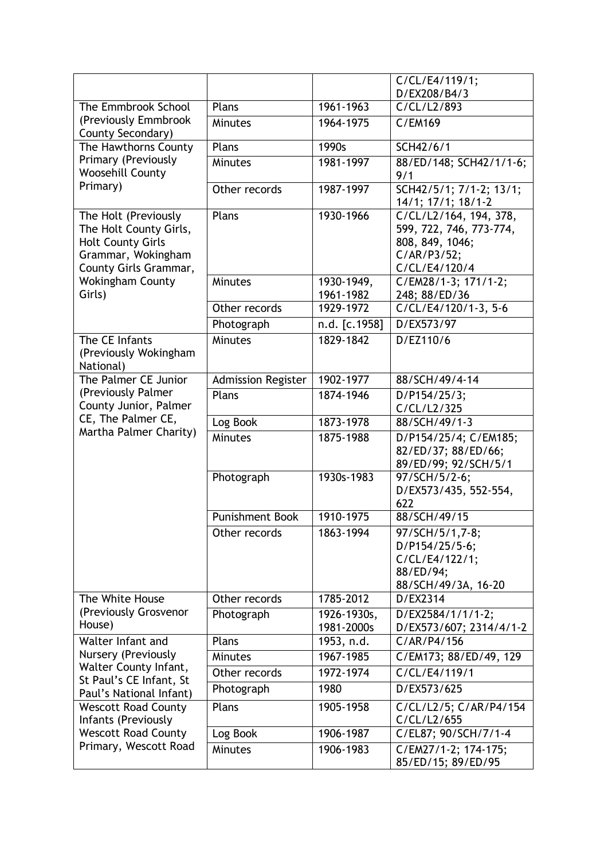|                                                                                                                           |                           |                           | C/CL/E4/119/1;                                                                                       |
|---------------------------------------------------------------------------------------------------------------------------|---------------------------|---------------------------|------------------------------------------------------------------------------------------------------|
| The Emmbrook School                                                                                                       | Plans                     | 1961-1963                 | D/EX208/B4/3<br>C/CL/L2/893                                                                          |
| (Previously Emmbrook                                                                                                      | <b>Minutes</b>            | 1964-1975                 | C/EM169                                                                                              |
| County Secondary)                                                                                                         |                           |                           |                                                                                                      |
| The Hawthorns County                                                                                                      | Plans                     | 1990s                     | SCH42/6/1                                                                                            |
| Primary (Previously<br><b>Woosehill County</b>                                                                            | <b>Minutes</b>            | 1981-1997                 | 88/ED/148; SCH42/1/1-6;<br>9/1                                                                       |
| Primary)                                                                                                                  | Other records             | 1987-1997                 | SCH42/5/1; 7/1-2; 13/1;<br>14/1; 17/1; 18/1-2                                                        |
| The Holt (Previously<br>The Holt County Girls,<br><b>Holt County Girls</b><br>Grammar, Wokingham<br>County Girls Grammar, | Plans                     | 1930-1966                 | C/CL/L2/164, 194, 378,<br>599, 722, 746, 773-774,<br>808, 849, 1046;<br>C/AR/P3/52;<br>C/CL/E4/120/4 |
| <b>Wokingham County</b><br>Girls)                                                                                         | Minutes                   | 1930-1949,<br>1961-1982   | C/EM28/1-3; 171/1-2;<br>248; 88/ED/36                                                                |
|                                                                                                                           | Other records             | 1929-1972                 | C/CL/E4/120/1-3, 5-6                                                                                 |
|                                                                                                                           | Photograph                | n.d. [c.1958]             | D/EX573/97                                                                                           |
| The CE Infants<br>(Previously Wokingham<br>National)                                                                      | Minutes                   | 1829-1842                 | D/EZ110/6                                                                                            |
| The Palmer CE Junior                                                                                                      | <b>Admission Register</b> | 1902-1977                 | 88/SCH/49/4-14                                                                                       |
| (Previously Palmer<br>County Junior, Palmer<br>CE, The Palmer CE,<br>Martha Palmer Charity)                               | Plans                     | 1874-1946                 | D/P154/25/3;<br>C/CL/L2/325                                                                          |
|                                                                                                                           | Log Book                  | 1873-1978                 | 88/SCH/49/1-3                                                                                        |
|                                                                                                                           | Minutes                   | 1875-1988                 | D/P154/25/4; C/EM185;<br>82/ED/37; 88/ED/66;<br>89/ED/99; 92/SCH/5/1                                 |
|                                                                                                                           | Photograph                | 1930s-1983                | 97/SCH/5/2-6;<br>D/EX573/435, 552-554,<br>622                                                        |
|                                                                                                                           | <b>Punishment Book</b>    | 1910-1975                 | 88/SCH/49/15                                                                                         |
|                                                                                                                           | Other records             | 1863-1994                 | 97/SCH/5/1,7-8;<br>D/P154/25/5-6;<br>C/CL/E4/122/1;<br>88/ED/94;<br>88/SCH/49/3A, 16-20              |
| The White House                                                                                                           | Other records             | 1785-2012                 | D/EX2314                                                                                             |
| (Previously Grosvenor<br>House)                                                                                           | Photograph                | 1926-1930s,<br>1981-2000s | D/EX2584/1/1/1-2;<br>D/EX573/607; 2314/4/1-2                                                         |
| Walter Infant and<br>Nursery (Previously                                                                                  | Plans                     | 1953, n.d.                | C/AR/P4/156                                                                                          |
|                                                                                                                           | <b>Minutes</b>            | 1967-1985                 | C/EM173; 88/ED/49, 129                                                                               |
| Walter County Infant,<br>St Paul's CE Infant, St                                                                          | Other records             | 1972-1974                 | C/CL/E4/119/1                                                                                        |
| Paul's National Infant)                                                                                                   | Photograph                | 1980                      | D/EX573/625                                                                                          |
| <b>Wescott Road County</b>                                                                                                | Plans                     | 1905-1958                 | C/CL/L2/5; C/AR/P4/154                                                                               |
| Infants (Previously<br><b>Wescott Road County</b>                                                                         | Log Book                  | 1906-1987                 | C/CL/L2/655<br>C/EL87; 90/SCH/7/1-4                                                                  |
| Primary, Wescott Road                                                                                                     | <b>Minutes</b>            | 1906-1983                 | C/EM27/1-2; 174-175;                                                                                 |
|                                                                                                                           |                           |                           | 85/ED/15; 89/ED/95                                                                                   |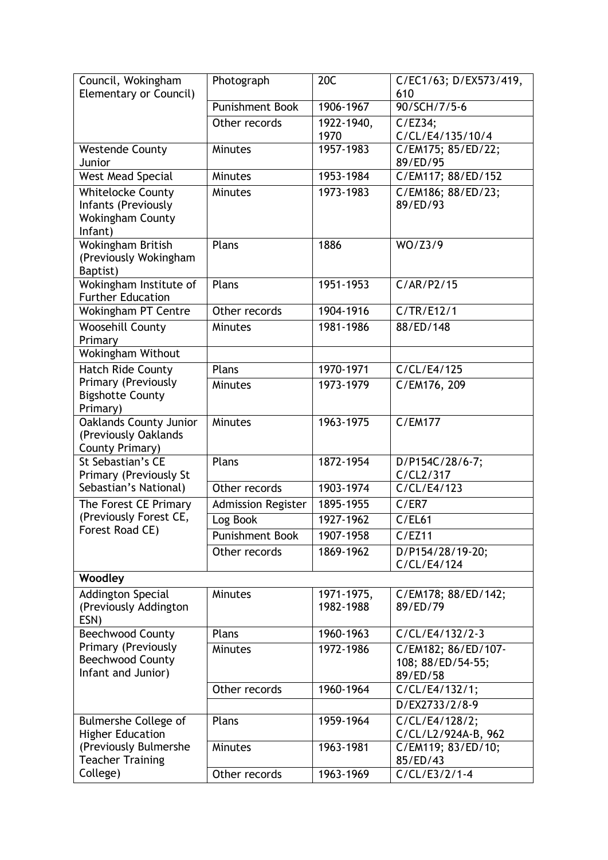| Council, Wokingham<br>Elementary or Council)                                          | Photograph             | 20C                     | C/EC1/63; D/EX573/419,<br>610                        |
|---------------------------------------------------------------------------------------|------------------------|-------------------------|------------------------------------------------------|
|                                                                                       | <b>Punishment Book</b> | 1906-1967               | 90/SCH/7/5-6                                         |
|                                                                                       | Other records          | 1922-1940,              | C/EZ34;                                              |
|                                                                                       |                        | 1970                    | C/CL/E4/135/10/4                                     |
| <b>Westende County</b><br>Junior                                                      | <b>Minutes</b>         | 1957-1983               | C/EM175; 85/ED/22;<br>89/ED/95                       |
| West Mead Special                                                                     | <b>Minutes</b>         | 1953-1984               | C/EM117; 88/ED/152                                   |
| <b>Whitelocke County</b><br>Infants (Previously<br><b>Wokingham County</b><br>Infant) | Minutes                | 1973-1983               | C/EM186; 88/ED/23;<br>89/ED/93                       |
| Wokingham British<br>(Previously Wokingham<br>Baptist)                                | Plans                  | 1886                    | WO/Z3/9                                              |
| Wokingham Institute of<br><b>Further Education</b>                                    | Plans                  | 1951-1953               | C/AR/P2/15                                           |
| <b>Wokingham PT Centre</b>                                                            | Other records          | 1904-1916               | C/TR/E12/1                                           |
| Woosehill County<br>Primary                                                           | <b>Minutes</b>         | 1981-1986               | 88/ED/148                                            |
| Wokingham Without                                                                     |                        |                         |                                                      |
| <b>Hatch Ride County</b>                                                              | Plans                  | 1970-1971               | $\overline{C}/CL/E4/125$                             |
| Primary (Previously<br><b>Bigshotte County</b><br>Primary)                            | <b>Minutes</b>         | 1973-1979               | C/EM176, 209                                         |
| <b>Oaklands County Junior</b><br>(Previously Oaklands<br>County Primary)              | Minutes                | 1963-1975               | <b>C/EM177</b>                                       |
| St Sebastian's CE<br>Primary (Previously St                                           | Plans                  | 1872-1954               | D/P154C/28/6-7;<br>C/CL2/317                         |
| Sebastian's National)                                                                 | Other records          | 1903-1974               | C/CL/E4/123                                          |
| The Forest CE Primary                                                                 | Admission Register     | 1895-1955               | C/ER7                                                |
| (Previously Forest CE,                                                                | Log Book               | 1927-1962               | C/EL61                                               |
| Forest Road CE)                                                                       | Punishment Book        | 1907-1958               | C/EZ11                                               |
|                                                                                       | Other records          | 1869-1962               | D/P154/28/19-20;<br>C/CL/E4/124                      |
| Woodley                                                                               |                        |                         |                                                      |
| <b>Addington Special</b><br>(Previously Addington<br>ESN)                             | <b>Minutes</b>         | 1971-1975,<br>1982-1988 | C/EM178; 88/ED/142;<br>89/ED/79                      |
| <b>Beechwood County</b>                                                               | Plans                  | 1960-1963               | C/CL/E4/132/2-3                                      |
| Primary (Previously<br><b>Beechwood County</b><br>Infant and Junior)                  | <b>Minutes</b>         | 1972-1986               | C/EM182; 86/ED/107-<br>108; 88/ED/54-55;<br>89/ED/58 |
|                                                                                       | Other records          | 1960-1964               | C/CL/E4/132/1;                                       |
|                                                                                       |                        |                         | D/EX2733/2/8-9                                       |
| <b>Bulmershe College of</b><br><b>Higher Education</b>                                | Plans                  | 1959-1964               | $\overline{C}/CL/E4/128/2;$<br>C/CL/L2/924A-B, 962   |
| (Previously Bulmershe<br><b>Teacher Training</b>                                      | <b>Minutes</b>         | 1963-1981               | C/EM119; 83/ED/10;<br>85/ED/43                       |
| College)                                                                              | Other records          | 1963-1969               | $C/CL/E3/2/1-4$                                      |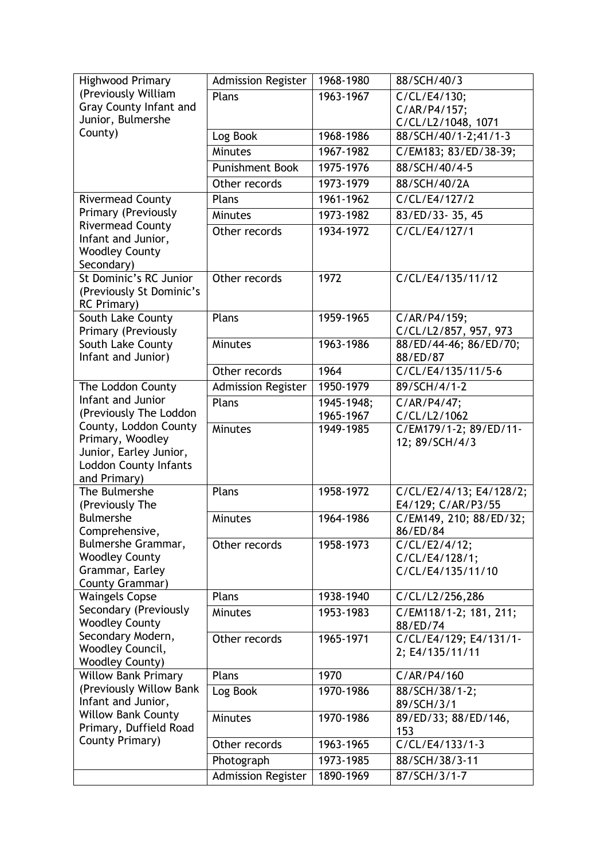| <b>Highwood Primary</b>                               | <b>Admission Register</b> | 1968-1980  | 88/SCH/40/3                         |
|-------------------------------------------------------|---------------------------|------------|-------------------------------------|
| (Previously William                                   | Plans                     | 1963-1967  | C/CL/E4/130;                        |
| <b>Gray County Infant and</b>                         |                           |            | C/AR/P4/157;                        |
| Junior, Bulmershe                                     |                           |            | C/CL/L2/1048, 1071                  |
| County)                                               | Log Book                  | 1968-1986  | 88/SCH/40/1-2;41/1-3                |
|                                                       | Minutes                   | 1967-1982  | C/EM183; 83/ED/38-39;               |
|                                                       | <b>Punishment Book</b>    | 1975-1976  | 88/SCH/40/4-5                       |
|                                                       | Other records             | 1973-1979  | 88/SCH/40/2A                        |
| <b>Rivermead County</b>                               | Plans                     | 1961-1962  | $\overline{C/CL/E4/127/2}$          |
| Primary (Previously                                   | <b>Minutes</b>            | 1973-1982  | 83/ED/33-35, 45                     |
| <b>Rivermead County</b>                               | Other records             | 1934-1972  | C/CL/E4/127/1                       |
| Infant and Junior,                                    |                           |            |                                     |
| <b>Woodley County</b>                                 |                           |            |                                     |
| Secondary)<br>St Dominic's RC Junior                  | Other records             | 1972       | C/CL/E4/135/11/12                   |
| (Previously St Dominic's                              |                           |            |                                     |
| <b>RC</b> Primary)                                    |                           |            |                                     |
| South Lake County                                     | Plans                     | 1959-1965  | C/AR/P4/159;                        |
| Primary (Previously                                   |                           |            | C/CL/L2/857, 957, 973               |
| South Lake County                                     | <b>Minutes</b>            | 1963-1986  | 88/ED/44-46; 86/ED/70;              |
| Infant and Junior)                                    |                           |            | 88/ED/87                            |
|                                                       | Other records             | 1964       | C/CL/E4/135/11/5-6                  |
| The Loddon County                                     | <b>Admission Register</b> | 1950-1979  | 89/SCH/4/1-2                        |
| Infant and Junior                                     | Plans                     | 1945-1948; | C/AR/P4/47;                         |
| (Previously The Loddon                                |                           | 1965-1967  | C/CL/L2/1062                        |
| County, Loddon County<br>Primary, Woodley             | <b>Minutes</b>            | 1949-1985  | C/EM179/1-2; 89/ED/11-              |
| Junior, Earley Junior,                                |                           |            | 12; 89/SCH/4/3                      |
| <b>Loddon County Infants</b>                          |                           |            |                                     |
| and Primary)                                          |                           |            |                                     |
| The Bulmershe                                         | Plans                     | 1958-1972  | C/CL/E2/4/13; E4/128/2;             |
| (Previously The                                       |                           |            | E4/129; C/AR/P3/55                  |
| <b>Bulmershe</b>                                      | Minutes                   | 1964-1986  | C/EM149, 210; 88/ED/32;             |
| Comprehensive,                                        |                           |            | 86/ED/84                            |
| Bulmershe Grammar,                                    | Other records             | 1958-1973  | C/CL/E2/4/12;                       |
| <b>Woodley County</b><br>Grammar, Earley              |                           |            | C/CL/E4/128/1;<br>C/CL/E4/135/11/10 |
| County Grammar)                                       |                           |            |                                     |
| <b>Waingels Copse</b>                                 | Plans                     | 1938-1940  | C/CL/L2/256,286                     |
| Secondary (Previously                                 | <b>Minutes</b>            | 1953-1983  | C/EM118/1-2; 181, 211;              |
| <b>Woodley County</b>                                 |                           |            | 88/ED/74                            |
| Secondary Modern,                                     | Other records             | 1965-1971  | C/CL/E4/129; E4/131/1-              |
| Woodley Council,                                      |                           |            | 2; E4/135/11/11                     |
| <b>Woodley County)</b>                                |                           |            |                                     |
| <b>Willow Bank Primary</b><br>(Previously Willow Bank | Plans                     | 1970       | C/AR/P4/160                         |
| Infant and Junior,                                    | Log Book                  | 1970-1986  | 88/SCH/38/1-2;<br>89/SCH/3/1        |
| <b>Willow Bank County</b>                             | <b>Minutes</b>            | 1970-1986  | 89/ED/33; 88/ED/146,                |
| Primary, Duffield Road                                |                           |            | 153                                 |
| County Primary)                                       | Other records             | 1963-1965  | C/CL/E4/133/1-3                     |
|                                                       | Photograph                | 1973-1985  | 88/SCH/38/3-11                      |
|                                                       | <b>Admission Register</b> | 1890-1969  | 87/SCH/3/1-7                        |
|                                                       |                           |            |                                     |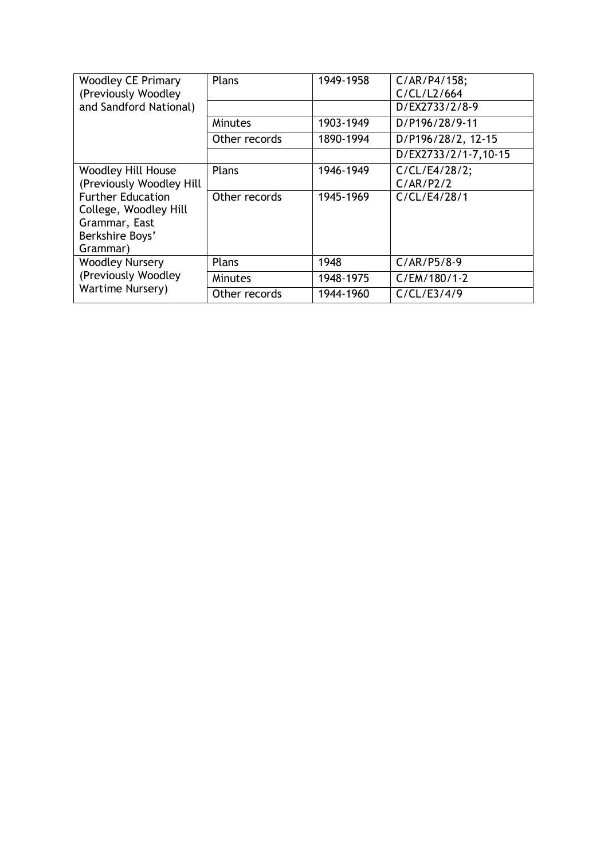| <b>Woodley CE Primary</b><br>(Previously Woodley)                                                 | Plans          | 1949-1958 | C/AR/P4/158;<br>C/CL/L2/664 |
|---------------------------------------------------------------------------------------------------|----------------|-----------|-----------------------------|
| and Sandford National)                                                                            |                |           | D/EX2733/2/8-9              |
|                                                                                                   | <b>Minutes</b> | 1903-1949 | D/P196/28/9-11              |
|                                                                                                   | Other records  | 1890-1994 | D/P196/28/2, 12-15          |
|                                                                                                   |                |           | D/EX2733/2/1-7,10-15        |
| <b>Woodley Hill House</b><br>(Previously Woodley Hill                                             | Plans          | 1946-1949 | C/CL/E4/28/2;<br>C/AR/P2/2  |
| <b>Further Education</b><br>College, Woodley Hill<br>Grammar, East<br>Berkshire Boys'<br>Grammar) | Other records  | 1945-1969 | C/CL/E4/28/1                |
| <b>Woodley Nursery</b><br>(Previously Woodley                                                     | Plans          | 1948      | $C/AR/P5/8-9$               |
|                                                                                                   | <b>Minutes</b> | 1948-1975 | C/EM/180/1-2                |
| <b>Wartime Nursery)</b>                                                                           | Other records  | 1944-1960 | C/CL/E3/4/9                 |